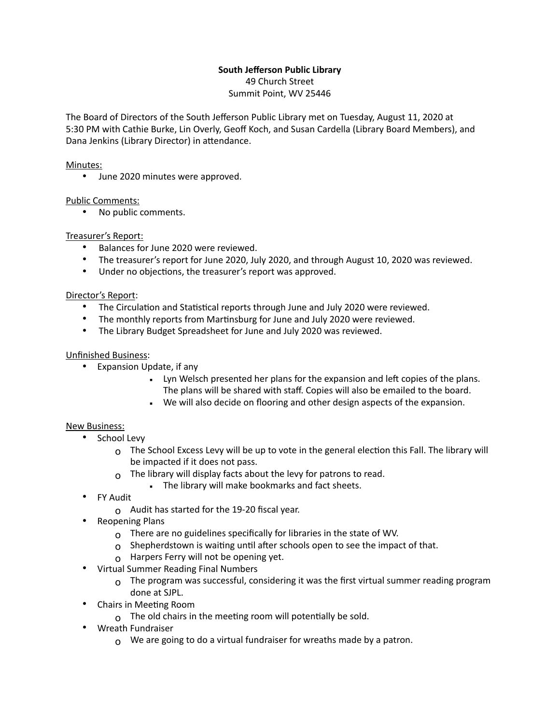# **South Jefferson Public Library**

49 Church Street Summit Point, WV 25446

The Board of Directors of the South Jefferson Public Library met on Tuesday, August 11, 2020 at 5:30 PM with Cathie Burke, Lin Overly, Geoff Koch, and Susan Cardella (Library Board Members), and Dana Jenkins (Library Director) in attendance.

#### Minutes:

• June 2020 minutes were approved.

## Public Comments:

• No public comments.

## Treasurer's Report:

- Balances for June 2020 were reviewed.
- The treasurer's report for June 2020, July 2020, and through August 10, 2020 was reviewed.
- Under no objections, the treasurer's report was approved.

## Director's Report:

- The Circulation and Statistical reports through June and July 2020 were reviewed.
- The monthly reports from Martinsburg for June and July 2020 were reviewed.
- The Library Budget Spreadsheet for June and July 2020 was reviewed.

## Unfinished Business:

- Expansion Update, if any
	- Lyn Welsch presented her plans for the expansion and left copies of the plans. The plans will be shared with staff. Copies will also be emailed to the board.
	- We will also decide on flooring and other design aspects of the expansion.

#### New Business:

- School Levy
	- $\Omega$  The School Excess Levy will be up to vote in the general election this Fall. The library will be impacted if it does not pass.
	- $\Omega$  The library will display facts about the levy for patrons to read.
		- The library will make bookmarks and fact sheets.
- FY Audit
	- $\Omega$  Audit has started for the 19-20 fiscal year.
- Reopening Plans
	- o There are no guidelines specifically for libraries in the state of WV.
	- $\Omega$  Shepherdstown is waiting until after schools open to see the impact of that.
	- o Harpers Ferry will not be opening yet.
- Virtual Summer Reading Final Numbers
	- $\Omega$  The program was successful, considering it was the first virtual summer reading program done at SJPL.
- Chairs in Meeting Room
	- $\sigma$  The old chairs in the meeting room will potentially be sold.
- Wreath Fundraiser
	- $\Omega$  We are going to do a virtual fundraiser for wreaths made by a patron.